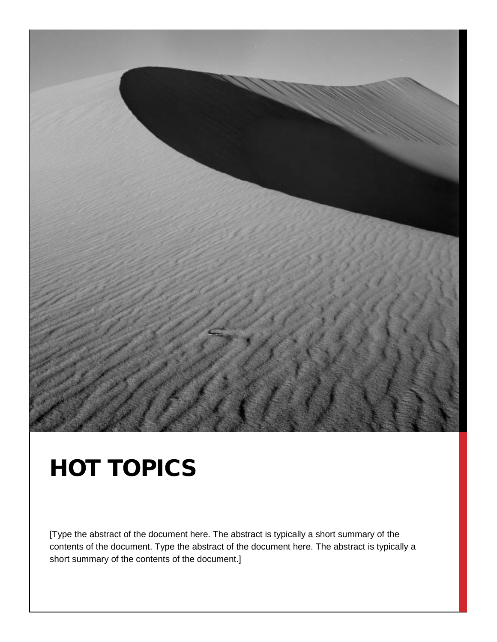

## HOT TOPICS

[Type the abstract of the document here. The abstract is typically a short summary of the contents of the document. Type the abstract of the document here. The abstract is typically a short summary of the contents of the document.]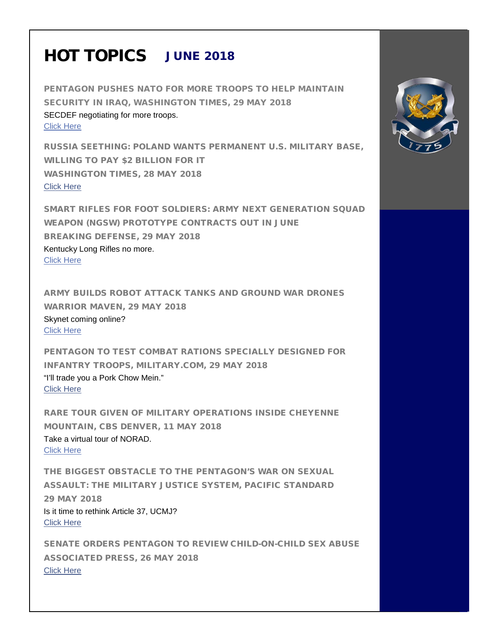## HOT TOPICS JUNE 2018

PENTAGON PUSHES NATO FOR MORE TROOPS TO HELP MAINTAIN SECURITY IN IRAQ, WASHINGTON TIMES, 29 MAY 2018 SECDEF negotiating for more troops. [Click Here](https://www.washingtontimes.com/news/2018/may/29/james-mattis-pentagon-push-nato-more-troops-iraq/) 

RUSSIA SEETHING: POLAND WANTS PERMANENT U.S. MILITARY BASE, WILLING TO PAY \$2 BILLION FOR IT WASHINGTON TIMES, 28 MAY 2018 [Click Here](https://www.washingtontimes.com/news/2018/may/28/poland-wants-permanent-us-military-base-willing-pa/) 

SMART RIFLES FOR FOOT SOLDIERS: ARMY NEXT GENERATION SQUAD WEAPON (NGSW) PROTOTYPE CONTRACTS OUT IN JUNE BREAKING DEFENSE, 29 MAY 2018 Kentucky Long Rifles no more. [Click Here](https://breakingdefense.com/2018/05/smart-rifles-for-foot-soldiers-army-ngsw-prototype-contracts-out-in-june/) 

ARMY BUILDS ROBOT ATTACK TANKS AND GROUND WAR DRONES WARRIOR MAVEN, 29 MAY 2018 Skynet coming online? [Click Here](https://www.themaven.net/warriormaven/land/army-builds-robot-attack-tanks-and-ground-war-drones-KqnAqR_xHU6R6bPrJBtOsg/) 

PENTAGON TO TEST COMBAT RATIONS SPECIALLY DESIGNED FOR INFANTRY TROOPS, MILITARY.COM, 29 MAY 2018 "I'll trade you a Pork Chow Mein." [Click Here](https://www.military.com/kitup/2018/05/29/pentagon-test-combat-rations-specially-designed-infantry-troops.html) 

RARE TOUR GIVEN OF MILITARY OPERATIONS INSIDE CHEYENNE MOUNTAIN, CBS DENVER, 11 MAY 2018 Take a virtual tour of NORAD. [Click Here](http://denver.cbslocal.com/2018/05/11/tour-military-operation-cheyenne-mountain-norad/) 

THE BIGGEST OBSTACLE TO THE PENTAGON'S WAR ON SEXUAL ASSAULT: THE MILITARY JUSTICE SYSTEM, PACIFIC STANDARD 29 MAY 2018 Is it time to rethink Article 37, UCMJ? [Click Here](https://psmag.com/news/the-biggest-obstacle-to-the-pentagons-war-on-sexual-assault-the-military-justice-system)

SENATE ORDERS PENTAGON TO REVIEW CHILD-ON-CHILD SEX ABUSE ASSOCIATED PRESS, 26 MAY 2018 [Click Here](https://www.apnews.com/166a1a58dae245b1893fbf329f80b159)